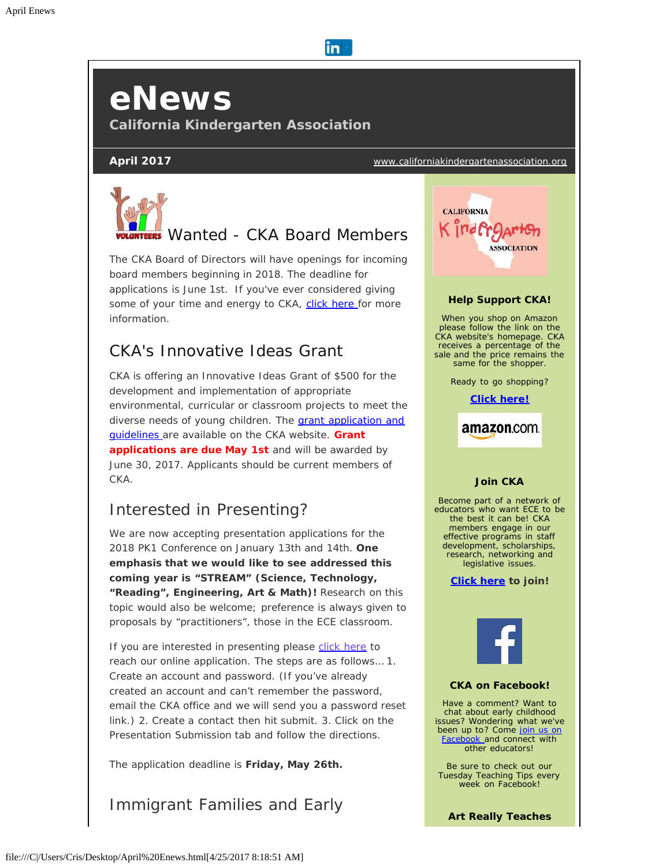# *eNews*

**California Kindergarten Association** 

**April 2017** [www.californiakindergartenassociation.org](http://cts.vresp.com/c/?CaliforniaKindergart/d70840d849/557f157494/e3a4559bc3)



# *Wanted - CKA Board Members*

in.

The CKA Board of Directors will have openings for incoming board members beginning in 2018. The deadline for applications is June 1st. If you've ever considered giving some of your time and energy to CKA, [click here](http://cts.vresp.com/c/?CaliforniaKindergart/d70840d849/557f157494/1cf3aa6387) for more information.

## *CKA's Innovative Ideas Grant*

CKA is offering an Innovative Ideas Grant of \$500 for the development and implementation of appropriate environmental, curricular or classroom projects to meet the diverse needs of young children. The [grant application and](http://cts.vresp.com/c/?CaliforniaKindergart/d70840d849/557f157494/b88c27e32c) [guidelines a](http://cts.vresp.com/c/?CaliforniaKindergart/d70840d849/557f157494/b88c27e32c)re available on the CKA website. **Grant applications are due May 1st** and will be awarded by June 30, 2017. Applicants should be current members of CKA.

## *Interested in Presenting?*

We are now accepting presentation applications for the 2018 PK1 Conference on January 13th and 14th. **One emphasis that we would like to see addressed this coming year is "STREAM" (Science, Technology, "Reading", Engineering, Art & Math)!** Research on this topic would also be welcome; preference is always given to proposals by "practitioners", those in the ECE classroom.

If you are interested in presenting please [click here](http://cts.vresp.com/c/?CaliforniaKindergart/d70840d849/557f157494/90c3008daa) to reach our online application. The steps are as follows… 1. Create an account and password. (If you've already created an account and can't remember the password, email the CKA office and we will send you a password reset link.) 2. Create a contact then hit submit. 3. Click on the Presentation Submission tab and follow the directions.

The application deadline is **Friday, May 26th.**

*Immigrant Families and Early*



*Art Really Teaches*